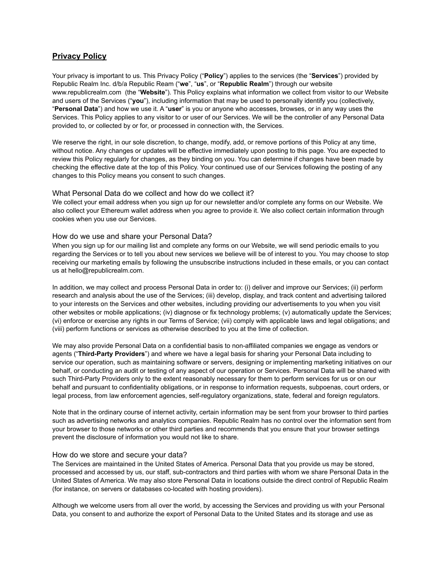# **Privacy Policy**

Your privacy is important to us. This Privacy Policy ("**Policy**") applies to the services (the "**Services**") provided by Republic Realm Inc. d/b/a Republic Ream ("**we**", "**us**", or "**Republic Realm**") through our website www.republicrealm.com (the "**Website**"). This Policy explains what information we collect from visitor to our Website and users of the Services ("**you**"), including information that may be used to personally identify you (collectively, "**Personal Data**") and how we use it. A "**user**" is you or anyone who accesses, browses, or in any way uses the Services. This Policy applies to any visitor to or user of our Services. We will be the controller of any Personal Data provided to, or collected by or for, or processed in connection with, the Services.

We reserve the right, in our sole discretion, to change, modify, add, or remove portions of this Policy at any time, without notice. Any changes or updates will be effective immediately upon posting to this page. You are expected to review this Policy regularly for changes, as they binding on you. You can determine if changes have been made by checking the effective date at the top of this Policy. Your continued use of our Services following the posting of any changes to this Policy means you consent to such changes.

#### What Personal Data do we collect and how do we collect it?

We collect your email address when you sign up for our newsletter and/or complete any forms on our Website. We also collect your Ethereum wallet address when you agree to provide it. We also collect certain information through cookies when you use our Services.

## How do we use and share your Personal Data?

When you sign up for our mailing list and complete any forms on our Website, we will send periodic emails to you regarding the Services or to tell you about new services we believe will be of interest to you. You may choose to stop receiving our marketing emails by following the unsubscribe instructions included in these emails, or you can contact us at hello@republicrealm.com.

In addition, we may collect and process Personal Data in order to: (i) deliver and improve our Services; (ii) perform research and analysis about the use of the Services; (iii) develop, display, and track content and advertising tailored to your interests on the Services and other websites, including providing our advertisements to you when you visit other websites or mobile applications; (iv) diagnose or fix technology problems; (v) automatically update the Services; (vi) enforce or exercise any rights in our Terms of Service; (vii) comply with applicable laws and legal obligations; and (viii) perform functions or services as otherwise described to you at the time of collection.

We may also provide Personal Data on a confidential basis to non-affiliated companies we engage as vendors or agents ("**Third-Party Providers**") and where we have a legal basis for sharing your Personal Data including to service our operation, such as maintaining software or servers, designing or implementing marketing initiatives on our behalf, or conducting an audit or testing of any aspect of our operation or Services. Personal Data will be shared with such Third-Party Providers only to the extent reasonably necessary for them to perform services for us or on our behalf and pursuant to confidentiality obligations, or in response to information requests, subpoenas, court orders, or legal process, from law enforcement agencies, self-regulatory organizations, state, federal and foreign regulators.

Note that in the ordinary course of internet activity, certain information may be sent from your browser to third parties such as advertising networks and analytics companies. Republic Realm has no control over the information sent from your browser to those networks or other third parties and recommends that you ensure that your browser settings prevent the disclosure of information you would not like to share.

#### How do we store and secure your data?

The Services are maintained in the United States of America. Personal Data that you provide us may be stored, processed and accessed by us, our staff, sub-contractors and third parties with whom we share Personal Data in the United States of America. We may also store Personal Data in locations outside the direct control of Republic Realm (for instance, on servers or databases co-located with hosting providers).

Although we welcome users from all over the world, by accessing the Services and providing us with your Personal Data, you consent to and authorize the export of Personal Data to the United States and its storage and use as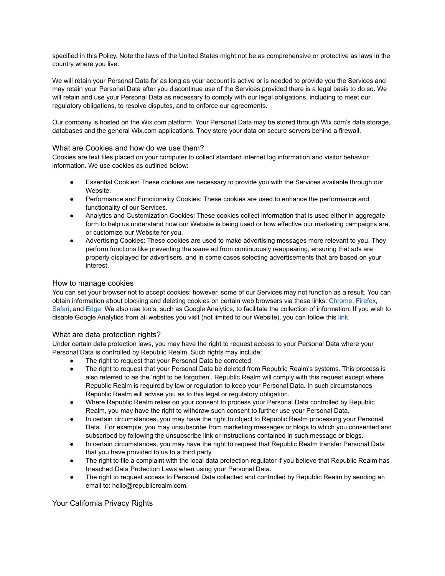specified in this Policy. Note the laws of the United States might not be as comprehensive or protective as laws in the country where you live.

We will retain your Personal Data for as long as your account is active or is needed to provide you the Services and may retain your Personal Data after you discontinue use of the Services provided there is a legal basis to do so. We will retain and use your Personal Data as necessary to comply with our legal obligations, including to meet our regulatory obligations, to resolve disputes, and to enforce our agreements.

Our company is hosted on the Wix.com platform. Your Personal Data may be stored through Wix.com's data storage, databases and the general Wix.com applications. They store your data on secure servers behind a firewall.

## What are Cookies and how do we use them?

Cookies are text files placed on your computer to collect standard internet log information and visitor behavior information. We use cookies as outlined below:

- Essential Cookies: These cookies are necessary to provide you with the Services available through our Website.
- Performance and Functionality Cookies: These cookies are used to enhance the performance and functionality of our Services.
- Analytics and Customization Cookies: These cookies collect information that is used either in aggregate form to help us understand how our Website is being used or how effective our marketing campaigns are, or customize our Website for you.
- Advertising Cookies: These cookies are used to make advertising messages more relevant to you. They perform functions like preventing the same ad from continuously reappearing, ensuring that ads are properly displayed for advertisers, and in some cases selecting advertisements that are based on your interest.

## How to manage cookies

You can set your browser not to accept cookies; however, some of our Services may not function as a result. You can obtain information about blocking and deleting cookies on certain web browsers via these links: [Chrome,](https://support.google.com/chrome/answer/95647) [Firefox](https://support.mozilla.org/en-US/kb/block-websites-storing-cookies-site-data-firefox), [Safari,](https://support.apple.com/guide/safari/manage-cookies-and-website-data-sfri11471/mac) and [Edge](https://support.microsoft.com/en-us/help/4468242/microsoft-edge-browsing-data-and-privacy). We also use tools, such as Google Analytics, to facilitate the collection of information. If you wish to disable Google Analytics from all websites you visit (not limited to our Website), you can follow this [link](https://tools.google.com/dlpage/gaoptout).

#### What are data protection rights?

Under certain data protection laws, you may have the right to request access to your Personal Data where your Personal Data is controlled by Republic Realm. Such rights may include:

- The right to request that your Personal Data be corrected.
- The right to request that your Personal Data be deleted from Republic Realm's systems. This process is also referred to as the 'right to be forgotten'. Republic Realm will comply with this request except where Republic Realm is required by law or regulation to keep your Personal Data. In such circumstances Republic Realm will advise you as to this legal or regulatory obligation.
- Where Republic Realm relies on your consent to process your Personal Data controlled by Republic Realm, you may have the right to withdraw such consent to further use your Personal Data.
- In certain circumstances, you may have the right to object to Republic Realm processing your Personal Data. For example, you may unsubscribe from marketing messages or blogs to which you consented and subscribed by following the unsubscribe link or instructions contained in such message or blogs.
- In certain circumstances, you may have the right to request that Republic Realm transfer Personal Data that you have provided to us to a third party.
- The right to file a complaint with the local data protection regulator if you believe that Republic Realm has breached Data Protection Laws when using your Personal Data.
- The right to request access to Personal Data collected and controlled by Republic Realm by sending an email to: hello@republicrealm.com.

Your California Privacy Rights